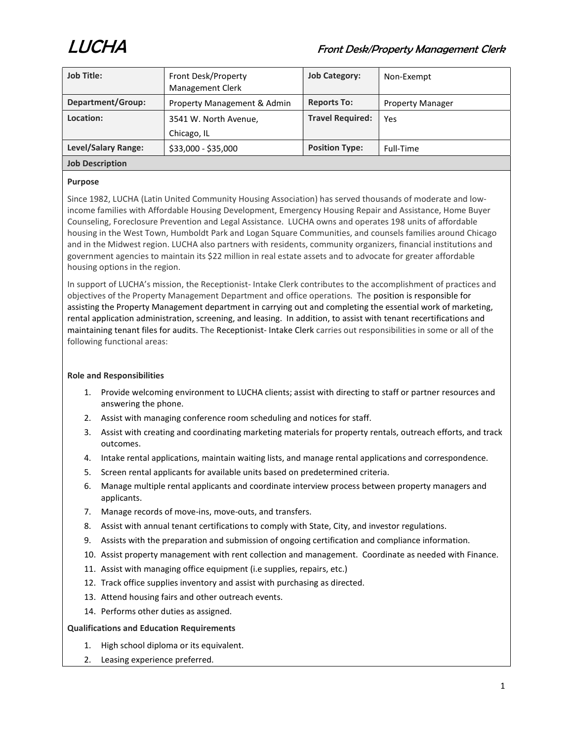

| <b>Job Title:</b>      | Front Desk/Property<br>Management Clerk | <b>Job Category:</b>    | Non-Exempt              |
|------------------------|-----------------------------------------|-------------------------|-------------------------|
| Department/Group:      | Property Management & Admin             | <b>Reports To:</b>      | <b>Property Manager</b> |
| Location:              | 3541 W. North Avenue,                   | <b>Travel Required:</b> | Yes                     |
|                        | Chicago, IL                             |                         |                         |
| Level/Salary Range:    | \$33,000 - \$35,000                     | <b>Position Type:</b>   | Full-Time               |
| <b>Job Description</b> |                                         |                         |                         |

# Purpose

Since 1982, LUCHA (Latin United Community Housing Association) has served thousands of moderate and lowincome families with Affordable Housing Development, Emergency Housing Repair and Assistance, Home Buyer Counseling, Foreclosure Prevention and Legal Assistance. LUCHA owns and operates 198 units of affordable housing in the West Town, Humboldt Park and Logan Square Communities, and counsels families around Chicago and in the Midwest region. LUCHA also partners with residents, community organizers, financial institutions and government agencies to maintain its \$22 million in real estate assets and to advocate for greater affordable housing options in the region.

In support of LUCHA's mission, the Receptionist- Intake Clerk contributes to the accomplishment of practices and objectives of the Property Management Department and office operations. The position is responsible for assisting the Property Management department in carrying out and completing the essential work of marketing, rental application administration, screening, and leasing. In addition, to assist with tenant recertifications and maintaining tenant files for audits. The Receptionist- Intake Clerk carries out responsibilities in some or all of the following functional areas:

# Role and Responsibilities

- 1. Provide welcoming environment to LUCHA clients; assist with directing to staff or partner resources and answering the phone.
- 2. Assist with managing conference room scheduling and notices for staff.
- 3. Assist with creating and coordinating marketing materials for property rentals, outreach efforts, and track outcomes.
- 4. Intake rental applications, maintain waiting lists, and manage rental applications and correspondence.
- 5. Screen rental applicants for available units based on predetermined criteria.
- 6. Manage multiple rental applicants and coordinate interview process between property managers and applicants.
- 7. Manage records of move-ins, move-outs, and transfers.
- 8. Assist with annual tenant certifications to comply with State, City, and investor regulations.
- 9. Assists with the preparation and submission of ongoing certification and compliance information.
- 10. Assist property management with rent collection and management. Coordinate as needed with Finance.
- 11. Assist with managing office equipment (i.e supplies, repairs, etc.)
- 12. Track office supplies inventory and assist with purchasing as directed.
- 13. Attend housing fairs and other outreach events.
- 14. Performs other duties as assigned.

## Qualifications and Education Requirements

- 1. High school diploma or its equivalent.
- 2. Leasing experience preferred.